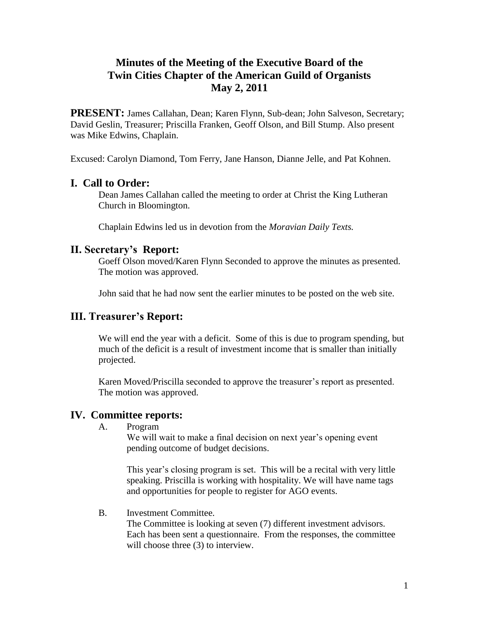# **Minutes of the Meeting of the Executive Board of the Twin Cities Chapter of the American Guild of Organists May 2, 2011**

**PRESENT:** James Callahan, Dean; Karen Flynn, Sub-dean; John Salveson, Secretary; David Geslin, Treasurer; Priscilla Franken, Geoff Olson, and Bill Stump. Also present was Mike Edwins, Chaplain.

Excused: Carolyn Diamond, Tom Ferry, Jane Hanson, Dianne Jelle, and Pat Kohnen.

## **I. Call to Order:**

Dean James Callahan called the meeting to order at Christ the King Lutheran Church in Bloomington.

Chaplain Edwins led us in devotion from the *Moravian Daily Texts.*

## **II. Secretary's Report:**

Goeff Olson moved/Karen Flynn Seconded to approve the minutes as presented. The motion was approved.

John said that he had now sent the earlier minutes to be posted on the web site.

# **III. Treasurer's Report:**

We will end the year with a deficit. Some of this is due to program spending, but much of the deficit is a result of investment income that is smaller than initially projected.

Karen Moved/Priscilla seconded to approve the treasurer's report as presented. The motion was approved.

#### **IV. Committee reports:**

A. Program

We will wait to make a final decision on next year's opening event pending outcome of budget decisions.

This year's closing program is set. This will be a recital with very little speaking. Priscilla is working with hospitality. We will have name tags and opportunities for people to register for AGO events.

B. Investment Committee.

The Committee is looking at seven (7) different investment advisors. Each has been sent a questionnaire. From the responses, the committee will choose three  $(3)$  to interview.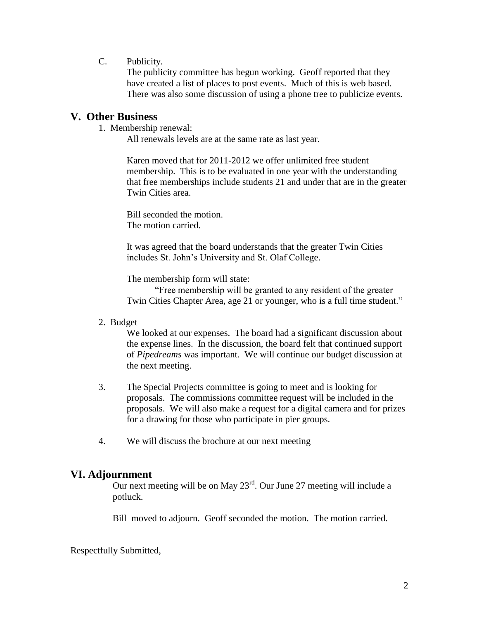C. Publicity.

The publicity committee has begun working. Geoff reported that they have created a list of places to post events. Much of this is web based. There was also some discussion of using a phone tree to publicize events.

## **V. Other Business**

1. Membership renewal:

All renewals levels are at the same rate as last year.

Karen moved that for 2011-2012 we offer unlimited free student membership. This is to be evaluated in one year with the understanding that free memberships include students 21 and under that are in the greater Twin Cities area.

Bill seconded the motion. The motion carried.

It was agreed that the board understands that the greater Twin Cities includes St. John's University and St. Olaf College.

The membership form will state:

"Free membership will be granted to any resident of the greater Twin Cities Chapter Area, age 21 or younger, who is a full time student."

2. Budget

We looked at our expenses. The board had a significant discussion about the expense lines. In the discussion, the board felt that continued support of *Pipedreams* was important. We will continue our budget discussion at the next meeting.

- 3. The Special Projects committee is going to meet and is looking for proposals. The commissions committee request will be included in the proposals. We will also make a request for a digital camera and for prizes for a drawing for those who participate in pier groups.
- 4. We will discuss the brochure at our next meeting

#### **VI. Adjournment**

Our next meeting will be on May 23<sup>rd</sup>. Our June 27 meeting will include a potluck.

Bill moved to adjourn. Geoff seconded the motion. The motion carried.

Respectfully Submitted,